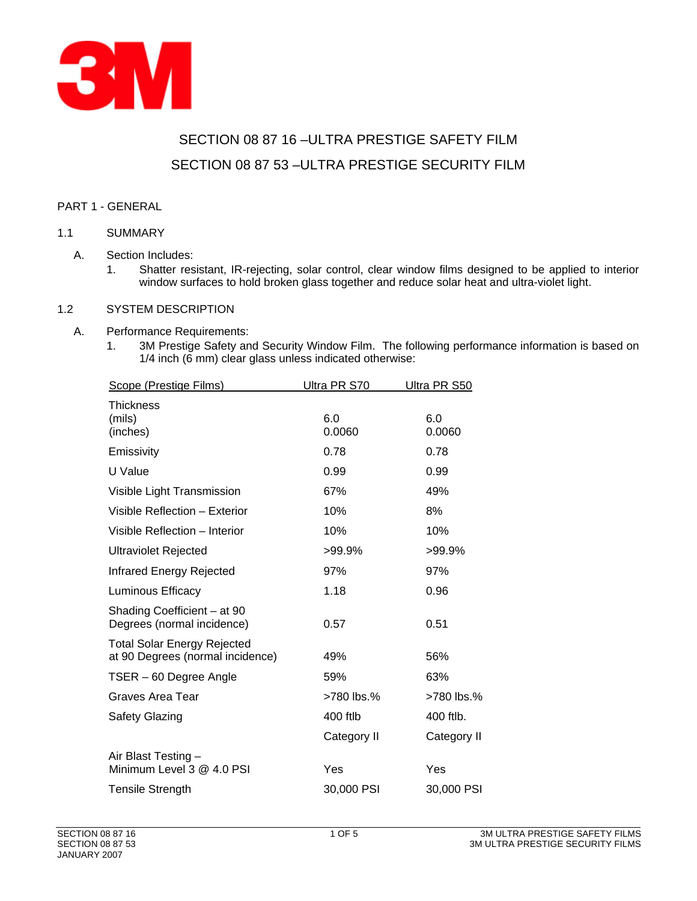

# SECTION 08 87 16 –ULTRA PRESTIGE SAFETY FILM SECTION 08 87 53 –ULTRA PRESTIGE SECURITY FILM

## PART 1 - GENERAL

## 1.1 SUMMARY

- A. Section Includes:
	- 1. Shatter resistant, IR-rejecting, solar control, clear window films designed to be applied to interior window surfaces to hold broken glass together and reduce solar heat and ultra-violet light.

#### 1.2 SYSTEM DESCRIPTION

## A. Performance Requirements:

1. 3M Prestige Safety and Security Window Film. The following performance information is based on 1/4 inch (6 mm) clear glass unless indicated otherwise:

| Scope (Prestige Films)                                                 | Ultra PR S70  | Ultra PR S50  |
|------------------------------------------------------------------------|---------------|---------------|
| <b>Thickness</b><br>(mils)<br>(inches)                                 | 6.0<br>0.0060 | 6.0<br>0.0060 |
| Emissivity                                                             | 0.78          | 0.78          |
| U Value                                                                | 0.99          | 0.99          |
| Visible Light Transmission                                             | 67%           | 49%           |
| Visible Reflection - Exterior                                          | 10%           | 8%            |
| Visible Reflection - Interior                                          | 10%           | 10%           |
| Ultraviolet Rejected                                                   | >99.9%        | >99.9%        |
| Infrared Energy Rejected                                               | 97%           | 97%           |
| Luminous Efficacy                                                      | 1.18          | 0.96          |
| Shading Coefficient - at 90<br>Degrees (normal incidence)              | 0.57          | 0.51          |
| <b>Total Solar Energy Rejected</b><br>at 90 Degrees (normal incidence) | 49%           | 56%           |
| TSER - 60 Degree Angle                                                 | 59%           | 63%           |
| <b>Graves Area Tear</b>                                                | >780 lbs.%    | >780 lbs.%    |
| <b>Safety Glazing</b>                                                  | 400 ftlb      | 400 ftlb.     |
|                                                                        | Category II   | Category II   |
| Air Blast Testing -<br>Minimum Level 3 @ 4.0 PSI                       | Yes           | Yes           |
| <b>Tensile Strength</b>                                                | 30,000 PSI    | 30,000 PSI    |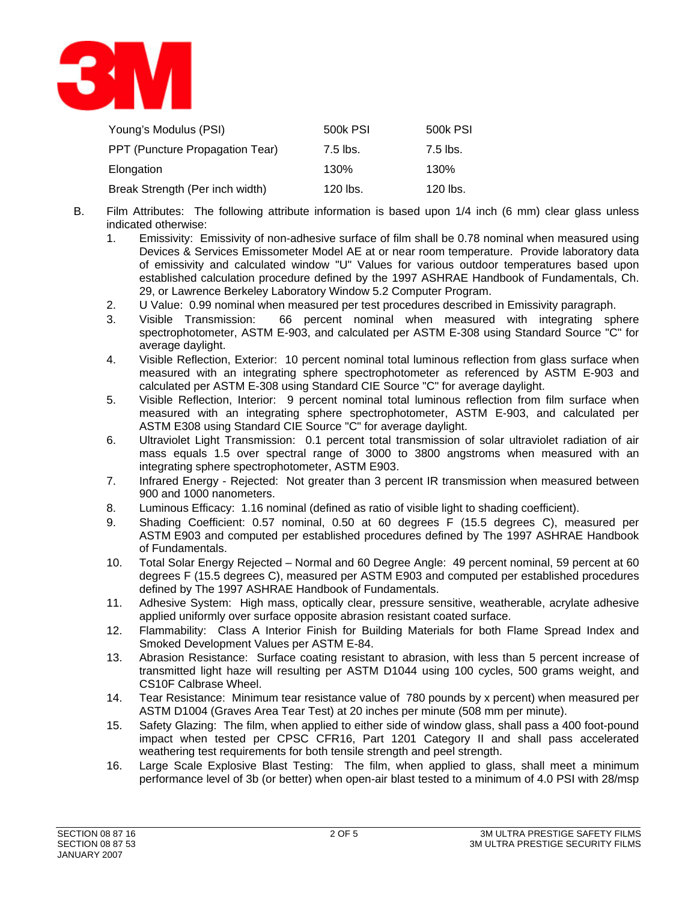

| Young's Modulus (PSI)           | 500k PSI | 500k PSI   |
|---------------------------------|----------|------------|
| PPT (Puncture Propagation Tear) | 7.5 lbs. | $7.5$ lbs. |
| Elongation                      | 130%     | 130%       |
| Break Strength (Per inch width) | 120 lbs. | 120 lbs.   |

- B. Film Attributes: The following attribute information is based upon 1/4 inch (6 mm) clear glass unless indicated otherwise:
	- 1. Emissivity: Emissivity of non-adhesive surface of film shall be 0.78 nominal when measured using Devices & Services Emissometer Model AE at or near room temperature. Provide laboratory data of emissivity and calculated window "U" Values for various outdoor temperatures based upon established calculation procedure defined by the 1997 ASHRAE Handbook of Fundamentals, Ch. 29, or Lawrence Berkeley Laboratory Window 5.2 Computer Program.
	- 2. U Value: 0.99 nominal when measured per test procedures described in Emissivity paragraph.
	- 3. Visible Transmission: 66 percent nominal when measured with integrating sphere spectrophotometer, ASTM E-903, and calculated per ASTM E-308 using Standard Source "C" for average daylight.
	- 4. Visible Reflection, Exterior: 10 percent nominal total luminous reflection from glass surface when measured with an integrating sphere spectrophotometer as referenced by ASTM E-903 and calculated per ASTM E-308 using Standard CIE Source "C" for average daylight.
	- 5. Visible Reflection, Interior: 9 percent nominal total luminous reflection from film surface when measured with an integrating sphere spectrophotometer, ASTM E-903, and calculated per ASTM E308 using Standard CIE Source "C" for average daylight.
	- 6. Ultraviolet Light Transmission: 0.1 percent total transmission of solar ultraviolet radiation of air mass equals 1.5 over spectral range of 3000 to 3800 angstroms when measured with an integrating sphere spectrophotometer, ASTM E903.
	- 7. Infrared Energy Rejected: Not greater than 3 percent IR transmission when measured between 900 and 1000 nanometers.
	- 8. Luminous Efficacy: 1.16 nominal (defined as ratio of visible light to shading coefficient).
	- 9. Shading Coefficient: 0.57 nominal, 0.50 at 60 degrees F (15.5 degrees C), measured per ASTM E903 and computed per established procedures defined by The 1997 ASHRAE Handbook of Fundamentals.
	- 10. Total Solar Energy Rejected Normal and 60 Degree Angle: 49 percent nominal, 59 percent at 60 degrees F (15.5 degrees C), measured per ASTM E903 and computed per established procedures defined by The 1997 ASHRAE Handbook of Fundamentals.
	- 11. Adhesive System: High mass, optically clear, pressure sensitive, weatherable, acrylate adhesive applied uniformly over surface opposite abrasion resistant coated surface.
	- 12. Flammability: Class A Interior Finish for Building Materials for both Flame Spread Index and Smoked Development Values per ASTM E-84.
	- 13. Abrasion Resistance: Surface coating resistant to abrasion, with less than 5 percent increase of transmitted light haze will resulting per ASTM D1044 using 100 cycles, 500 grams weight, and CS10F Calbrase Wheel.
	- 14. Tear Resistance: Minimum tear resistance value of 780 pounds by x percent) when measured per ASTM D1004 (Graves Area Tear Test) at 20 inches per minute (508 mm per minute).
	- 15. Safety Glazing: The film, when applied to either side of window glass, shall pass a 400 foot-pound impact when tested per CPSC CFR16, Part 1201 Category II and shall pass accelerated weathering test requirements for both tensile strength and peel strength.
	- 16. Large Scale Explosive Blast Testing: The film, when applied to glass, shall meet a minimum performance level of 3b (or better) when open-air blast tested to a minimum of 4.0 PSI with 28/msp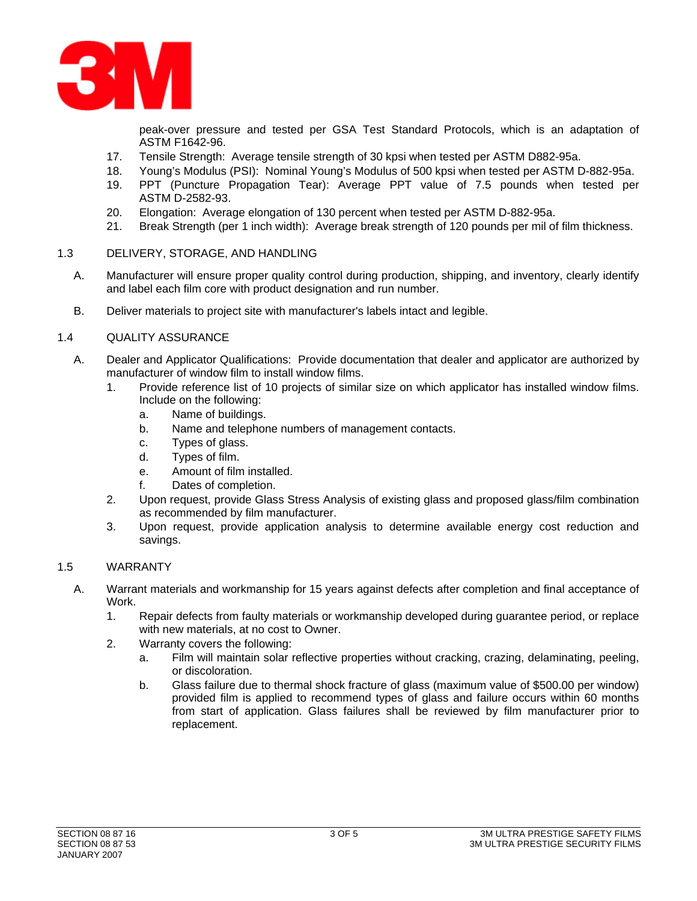

peak-over pressure and tested per GSA Test Standard Protocols, which is an adaptation of ASTM F1642-96.

- 17. Tensile Strength: Average tensile strength of 30 kpsi when tested per ASTM D882-95a.
- 18. Young's Modulus (PSI): Nominal Young's Modulus of 500 kpsi when tested per ASTM D-882-95a.
- 19. PPT (Puncture Propagation Tear): Average PPT value of 7.5 pounds when tested per ASTM D-2582-93.
- 20. Elongation: Average elongation of 130 percent when tested per ASTM D-882-95a.
- 21. Break Strength (per 1 inch width): Average break strength of 120 pounds per mil of film thickness.

#### 1.3 DELIVERY, STORAGE, AND HANDLING

- A. Manufacturer will ensure proper quality control during production, shipping, and inventory, clearly identify and label each film core with product designation and run number.
- B. Deliver materials to project site with manufacturer's labels intact and legible.

#### 1.4 QUALITY ASSURANCE

- A. Dealer and Applicator Qualifications: Provide documentation that dealer and applicator are authorized by manufacturer of window film to install window films.
	- 1. Provide reference list of 10 projects of similar size on which applicator has installed window films. Include on the following:
		- a. Name of buildings.
		- b. Name and telephone numbers of management contacts.
		- c. Types of glass.
		- d. Types of film.
		- e. Amount of film installed.
		- f. Dates of completion.
	- 2. Upon request, provide Glass Stress Analysis of existing glass and proposed glass/film combination as recommended by film manufacturer.
	- 3. Upon request, provide application analysis to determine available energy cost reduction and savings.

#### 1.5 WARRANTY

- A. Warrant materials and workmanship for 15 years against defects after completion and final acceptance of Work.
	- 1. Repair defects from faulty materials or workmanship developed during guarantee period, or replace with new materials, at no cost to Owner.
	- 2. Warranty covers the following:
		- a. Film will maintain solar reflective properties without cracking, crazing, delaminating, peeling, or discoloration.
		- b. Glass failure due to thermal shock fracture of glass (maximum value of \$500.00 per window) provided film is applied to recommend types of glass and failure occurs within 60 months from start of application. Glass failures shall be reviewed by film manufacturer prior to replacement.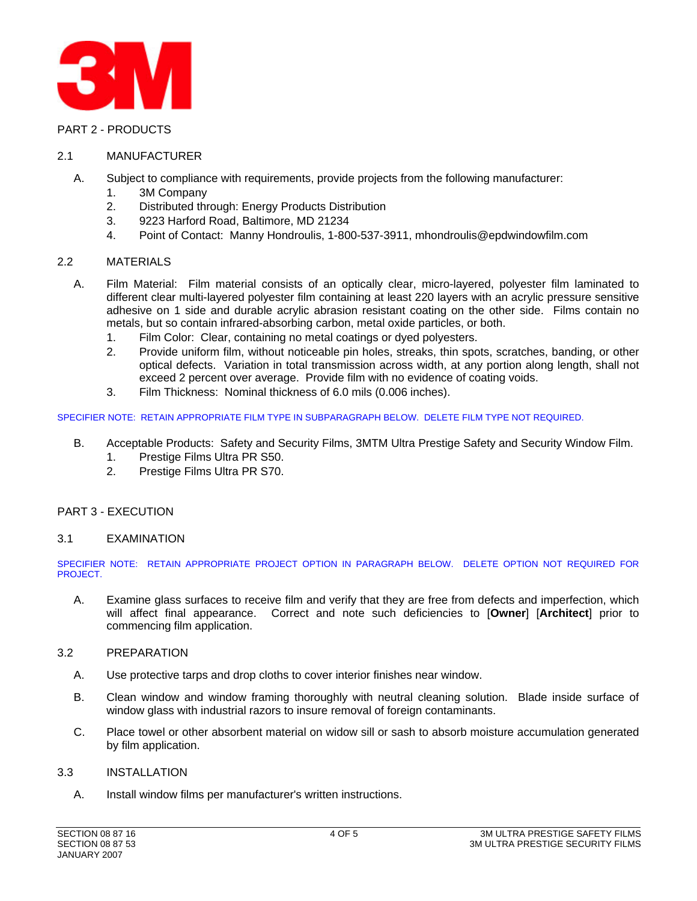

#### PART 2 - PRODUCTS

#### 2.1 MANUFACTURER

- A. Subject to compliance with requirements, provide projects from the following manufacturer:
	- 1. 3M Company
	- 2. Distributed through: Energy Products Distribution
	- 3. 9223 Harford Road, Baltimore, MD 21234
	- 4. Point of Contact: Manny Hondroulis, 1-800-537-3911, mhondroulis@epdwindowfilm.com

#### 2.2 MATERIALS

- A. Film Material: Film material consists of an optically clear, micro-layered, polyester film laminated to different clear multi-layered polyester film containing at least 220 layers with an acrylic pressure sensitive adhesive on 1 side and durable acrylic abrasion resistant coating on the other side. Films contain no metals, but so contain infrared-absorbing carbon, metal oxide particles, or both.
	- 1. Film Color: Clear, containing no metal coatings or dyed polyesters.
	- 2. Provide uniform film, without noticeable pin holes, streaks, thin spots, scratches, banding, or other optical defects. Variation in total transmission across width, at any portion along length, shall not exceed 2 percent over average. Provide film with no evidence of coating voids.
	- 3. Film Thickness: Nominal thickness of 6.0 mils (0.006 inches).

#### SPECIFIER NOTE: RETAIN APPROPRIATE FILM TYPE IN SUBPARAGRAPH BELOW. DELETE FILM TYPE NOT REQUIRED.

- B. Acceptable Products: Safety and Security Films, 3MTM Ultra Prestige Safety and Security Window Film.
	- 1. Prestige Films Ultra PR S50.
	- 2. Prestige Films Ultra PR S70.

#### PART 3 - EXECUTION

#### 3.1 EXAMINATION

SPECIFIER NOTE: RETAIN APPROPRIATE PROJECT OPTION IN PARAGRAPH BELOW. DELETE OPTION NOT REQUIRED FOR PROJECT.

A. Examine glass surfaces to receive film and verify that they are free from defects and imperfection, which will affect final appearance. Correct and note such deficiencies to [**Owner**] [**Architect**] prior to commencing film application.

#### 3.2 PREPARATION

- A. Use protective tarps and drop cloths to cover interior finishes near window.
- B. Clean window and window framing thoroughly with neutral cleaning solution. Blade inside surface of window glass with industrial razors to insure removal of foreign contaminants.
- C. Place towel or other absorbent material on widow sill or sash to absorb moisture accumulation generated by film application.

#### 3.3 INSTALLATION

A. Install window films per manufacturer's written instructions.